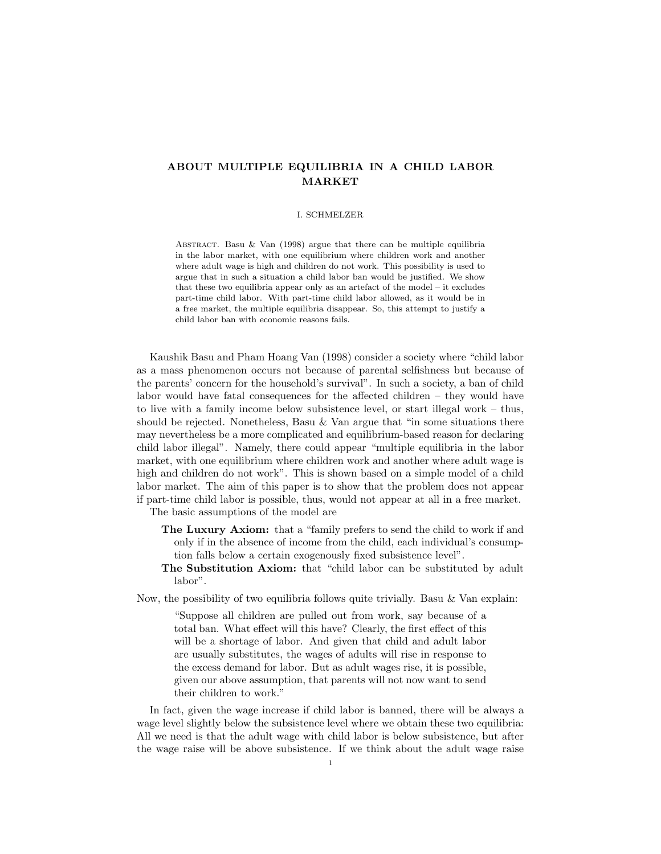## ABOUT MULTIPLE EQUILIBRIA IN A CHILD LABOR MARKET

## I. SCHMELZER

ABSTRACT. Basu & Van (1998) argue that there can be multiple equilibria in the labor market, with one equilibrium where children work and another where adult wage is high and children do not work. This possibility is used to argue that in such a situation a child labor ban would be justified. We show that these two equilibria appear only as an artefact of the model – it excludes part-time child labor. With part-time child labor allowed, as it would be in a free market, the multiple equilibria disappear. So, this attempt to justify a child labor ban with economic reasons fails.

Kaushik Basu and Pham Hoang Van (1998) consider a society where "child labor as a mass phenomenon occurs not because of parental selfishness but because of the parents' concern for the household's survival". In such a society, a ban of child labor would have fatal consequences for the affected children – they would have to live with a family income below subsistence level, or start illegal work – thus, should be rejected. Nonetheless, Basu  $&$  Van argue that "in some situations there may nevertheless be a more complicated and equilibrium-based reason for declaring child labor illegal". Namely, there could appear "multiple equilibria in the labor market, with one equilibrium where children work and another where adult wage is high and children do not work". This is shown based on a simple model of a child labor market. The aim of this paper is to show that the problem does not appear if part-time child labor is possible, thus, would not appear at all in a free market.

The basic assumptions of the model are

- The Luxury Axiom: that a "family prefers to send the child to work if and only if in the absence of income from the child, each individual's consumption falls below a certain exogenously fixed subsistence level".
- The Substitution Axiom: that "child labor can be substituted by adult labor".

Now, the possibility of two equilibria follows quite trivially. Basu  $\&$  Van explain:

"Suppose all children are pulled out from work, say because of a total ban. What effect will this have? Clearly, the first effect of this will be a shortage of labor. And given that child and adult labor are usually substitutes, the wages of adults will rise in response to the excess demand for labor. But as adult wages rise, it is possible, given our above assumption, that parents will not now want to send their children to work."

In fact, given the wage increase if child labor is banned, there will be always a wage level slightly below the subsistence level where we obtain these two equilibria: All we need is that the adult wage with child labor is below subsistence, but after the wage raise will be above subsistence. If we think about the adult wage raise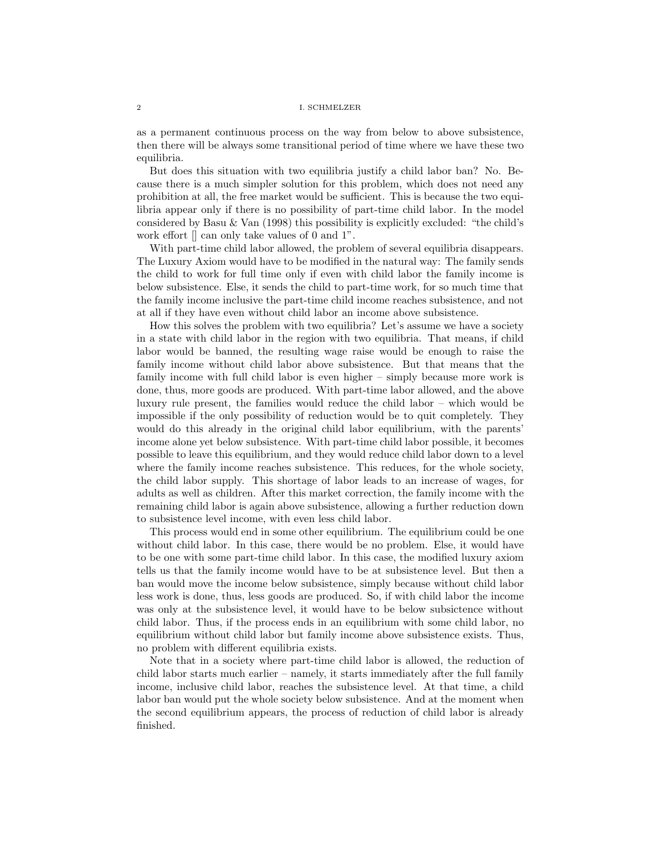## 2 I. SCHMELZER

as a permanent continuous process on the way from below to above subsistence, then there will be always some transitional period of time where we have these two equilibria.

But does this situation with two equilibria justify a child labor ban? No. Because there is a much simpler solution for this problem, which does not need any prohibition at all, the free market would be sufficient. This is because the two equilibria appear only if there is no possibility of part-time child labor. In the model considered by Basu & Van (1998) this possibility is explicitly excluded: "the child's work effort  $\parallel$  can only take values of 0 and 1".

With part-time child labor allowed, the problem of several equilibria disappears. The Luxury Axiom would have to be modified in the natural way: The family sends the child to work for full time only if even with child labor the family income is below subsistence. Else, it sends the child to part-time work, for so much time that the family income inclusive the part-time child income reaches subsistence, and not at all if they have even without child labor an income above subsistence.

How this solves the problem with two equilibria? Let's assume we have a society in a state with child labor in the region with two equilibria. That means, if child labor would be banned, the resulting wage raise would be enough to raise the family income without child labor above subsistence. But that means that the family income with full child labor is even higher – simply because more work is done, thus, more goods are produced. With part-time labor allowed, and the above luxury rule present, the families would reduce the child labor – which would be impossible if the only possibility of reduction would be to quit completely. They would do this already in the original child labor equilibrium, with the parents' income alone yet below subsistence. With part-time child labor possible, it becomes possible to leave this equilibrium, and they would reduce child labor down to a level where the family income reaches subsistence. This reduces, for the whole society, the child labor supply. This shortage of labor leads to an increase of wages, for adults as well as children. After this market correction, the family income with the remaining child labor is again above subsistence, allowing a further reduction down to subsistence level income, with even less child labor.

This process would end in some other equilibrium. The equilibrium could be one without child labor. In this case, there would be no problem. Else, it would have to be one with some part-time child labor. In this case, the modified luxury axiom tells us that the family income would have to be at subsistence level. But then a ban would move the income below subsistence, simply because without child labor less work is done, thus, less goods are produced. So, if with child labor the income was only at the subsistence level, it would have to be below subsictence without child labor. Thus, if the process ends in an equilibrium with some child labor, no equilibrium without child labor but family income above subsistence exists. Thus, no problem with different equilibria exists.

Note that in a society where part-time child labor is allowed, the reduction of child labor starts much earlier – namely, it starts immediately after the full family income, inclusive child labor, reaches the subsistence level. At that time, a child labor ban would put the whole society below subsistence. And at the moment when the second equilibrium appears, the process of reduction of child labor is already finished.